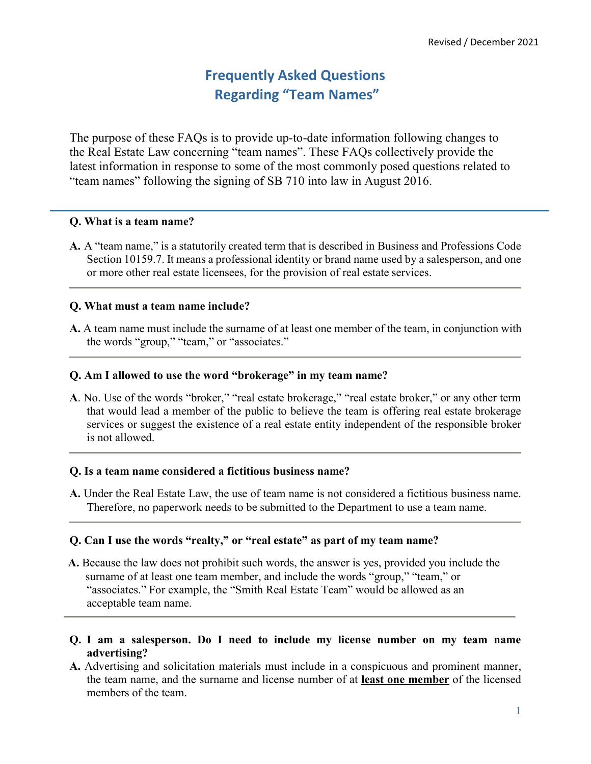# **Frequently Asked Questions Regarding "Team Names"**

The purpose of these FAQs is to provide up-to-date information following changes to the Real Estate Law concerning "team names". These FAQs collectively provide the latest information in response to some of the most commonly posed questions related to "team names" following the signing of SB 710 into law in August 2016.

#### **Q. What is a team name?**

**A.** A "team name," is a statutorily created term that is described in Business and Professions Code Section 10159.7. It means a professional identity or brand name used by a salesperson, and one or more other real estate licensees, for the provision of real estate services.

### **Q. What must a team name include?**

**A.** A team name must include the surname of at least one member of the team, in conjunction with the words "group," "team," or "associates."

### **Q. Am I allowed to use the word "brokerage" in my team name?**

**A**. No. Use of the words "broker," "real estate brokerage," "real estate broker," or any other term that would lead a member of the public to believe the team is offering real estate brokerage services or suggest the existence of a real estate entity independent of the responsible broker is not allowed.

### **Q. Is a team name considered a fictitious business name?**

**A.** Under the Real Estate Law, the use of team name is not considered a fictitious business name. Therefore, no paperwork needs to be submitted to the Department to use a team name.

### **Q. Can I use the words "realty," or "real estate" as part of my team name?**

- **A.** Because the law does not prohibit such words, the answer is yes, provided you include the surname of at least one team member, and include the words "group," "team," or "associates." For example, the "Smith Real Estate Team" would be allowed as an acceptable team name.
- **Q. I am a salesperson. Do I need to include my license number on my team name advertising?**
- **A.** Advertising and solicitation materials must include in a conspicuous and prominent manner, the team name, and the surname and license number of at **least one member** of the licensed members of the team.